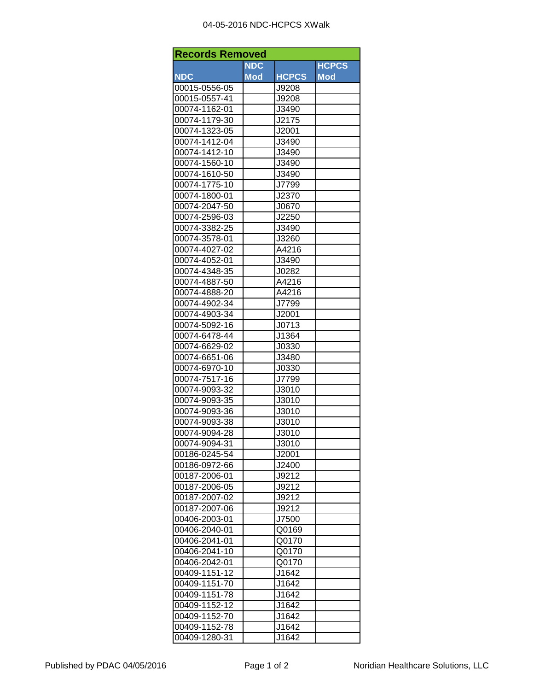## 04-05-2016 NDC-HCPCS XWalk

| <b>Records Removed</b> |            |                |              |  |
|------------------------|------------|----------------|--------------|--|
|                        | <b>NDC</b> |                | <b>HCPCS</b> |  |
| <b>NDC</b>             | <b>Mod</b> | <b>HCPCS</b>   | <b>Mod</b>   |  |
| 00015-0556-05          |            | J9208          |              |  |
| 00015-0557-41          |            | J9208          |              |  |
| 00074-1162-01          |            | J3490          |              |  |
| 00074-1179-30          |            | J2175          |              |  |
| 00074-1323-05          |            | J2001          |              |  |
| 00074-1412-04          |            | J3490          |              |  |
| 00074-1412-10          |            | J3490          |              |  |
| 00074-1560-10          |            | J3490          |              |  |
| 00074-1610-50          |            | J3490          |              |  |
| 00074-1775-10          |            | J7799          |              |  |
| 00074-1800-01          |            | J2370          |              |  |
| 00074-2047-50          |            | J0670          |              |  |
| 00074-2596-03          |            | J2250          |              |  |
| 00074-3382-25          |            | J3490          |              |  |
| 00074-3578-01          |            | J3260          |              |  |
| 00074-4027-02          |            | A4216          |              |  |
| 00074-4052-01          |            | J3490          |              |  |
| 00074-4348-35          |            | J0282          |              |  |
| 00074-4887-50          |            | A4216          |              |  |
| 00074-4888-20          |            | A4216          |              |  |
| 00074-4902-34          |            | J7799          |              |  |
| 00074-4903-34          |            | J2001          |              |  |
| 00074-5092-16          |            | J0713          |              |  |
| 00074-6478-44          |            | J1364          |              |  |
| 00074-6629-02          |            | J0330          |              |  |
| 00074-6651-06          |            | J3480          |              |  |
| 00074-6970-10          |            | J0330          |              |  |
| 00074-7517-16          |            | J7799          |              |  |
| 00074-9093-32          |            | J3010          |              |  |
| 00074-9093-35          |            | J3010          |              |  |
| 00074-9093-36          |            | J3010          |              |  |
| 00074-9093-38          |            | J3010          |              |  |
| 00074-9094-28          |            | J3010          |              |  |
| 00074-9094-31          |            |                |              |  |
| 00186-0245-54          |            | J3010<br>J2001 |              |  |
| 00186-0972-66          |            | J2400          |              |  |
| 00187-2006-01          |            | J9212          |              |  |
|                        |            | J9212          |              |  |
| 00187-2006-05          |            |                |              |  |
| 00187-2007-02          |            | J9212          |              |  |
| 00187-2007-06          |            | J9212          |              |  |
| 00406-2003-01          |            | J7500          |              |  |
| 00406-2040-01          |            | Q0169          |              |  |
| 00406-2041-01          |            | Q0170          |              |  |
| 00406-2041-10          |            | Q0170          |              |  |
| 00406-2042-01          |            | Q0170          |              |  |
| 00409-1151-12          |            | J1642          |              |  |
| 00409-1151-70          |            | J1642          |              |  |
| 00409-1151-78          |            | J1642          |              |  |
| 00409-1152-12          |            | J1642          |              |  |
| 00409-1152-70          |            | J1642          |              |  |
| 00409-1152-78          |            | J1642          |              |  |
| 00409-1280-31          |            | J1642          |              |  |